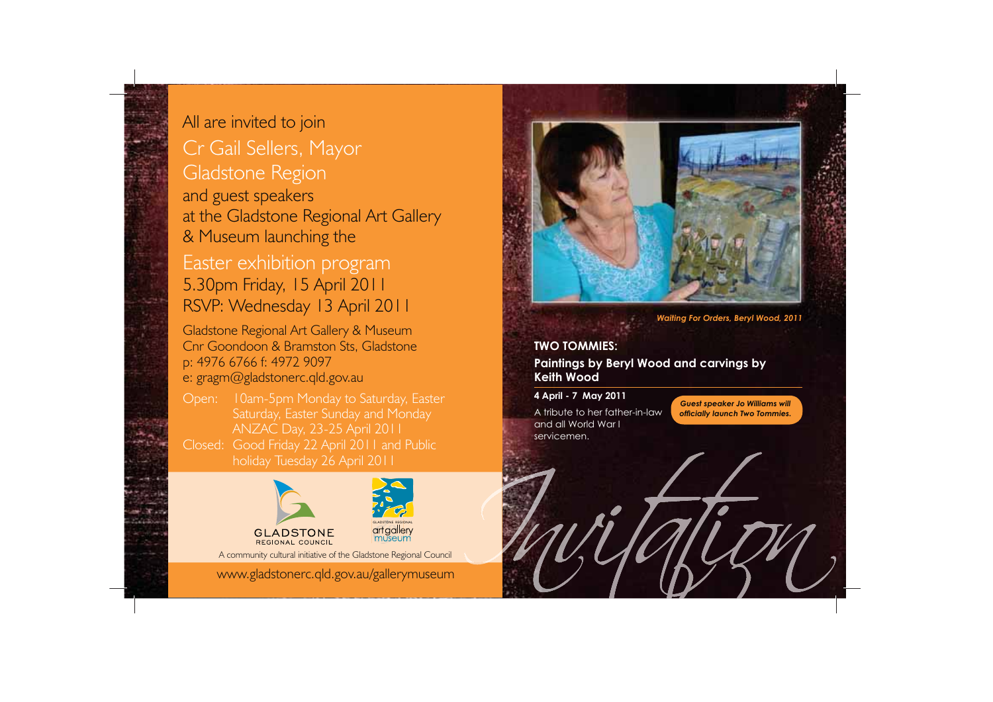

# All are invited to join

Cr Gail Sellers, Mayor Gladstone Region and guest speakers at the Gladstone Regional Art Gallery & Museum launching the

# Easter exhibition program 5.30pm Friday, 15 April 2011 RSVP: Wednesday 13 April 2011

Gladstone Regional Art Gallery & Museum Cnr Goondoon & Bramston Sts, Gladstone p: 4976 6766 f: 4972 9097 e: gragm@gladstonerc.qld.gov.au

Open: 10am-5pm Monday to Saturday, Easter ANZAC Day, 23-25 April 2011 Closed: Good Friday 22 April 2011 and Public holiday Tuesday 26 April 2011





**GLADSTONE** REGIONAL COUNCIL

A community cultural initiative of the Gladstone Regional Council

www.gladstonerc.qld.gov.au/gallerymuseum



*Waiting For Orders, Beryl Wood, 2011*

# **TWO TOMMIES:**

**Paintings by Beryl Wood and carvings by Keith Wood**

**4 April - 7 May 2011** A tribute to her father-in-law and all World War I servicemen.